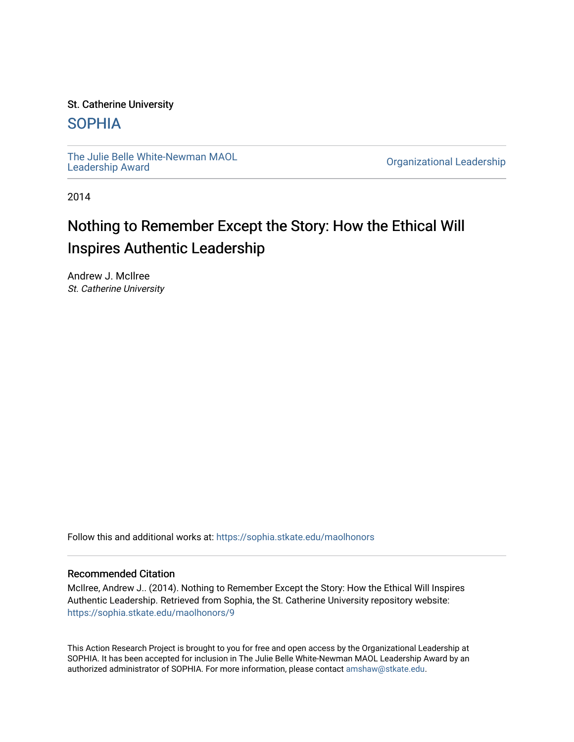#### St. Catherine University

## [SOPHIA](https://sophia.stkate.edu/)

[The Julie Belle White-Newman MAOL](https://sophia.stkate.edu/maolhonors)<br>Leadership Award

**Organizational Leadership** 

2014

## Nothing to Remember Except the Story: How the Ethical Will Inspires Authentic Leadership

Andrew J. McIlree St. Catherine University

Follow this and additional works at: [https://sophia.stkate.edu/maolhonors](https://sophia.stkate.edu/maolhonors?utm_source=sophia.stkate.edu%2Fmaolhonors%2F9&utm_medium=PDF&utm_campaign=PDFCoverPages) 

#### Recommended Citation

McIlree, Andrew J.. (2014). Nothing to Remember Except the Story: How the Ethical Will Inspires Authentic Leadership. Retrieved from Sophia, the St. Catherine University repository website: [https://sophia.stkate.edu/maolhonors/9](https://sophia.stkate.edu/maolhonors/9?utm_source=sophia.stkate.edu%2Fmaolhonors%2F9&utm_medium=PDF&utm_campaign=PDFCoverPages) 

This Action Research Project is brought to you for free and open access by the Organizational Leadership at SOPHIA. It has been accepted for inclusion in The Julie Belle White-Newman MAOL Leadership Award by an authorized administrator of SOPHIA. For more information, please contact [amshaw@stkate.edu](mailto:amshaw@stkate.edu).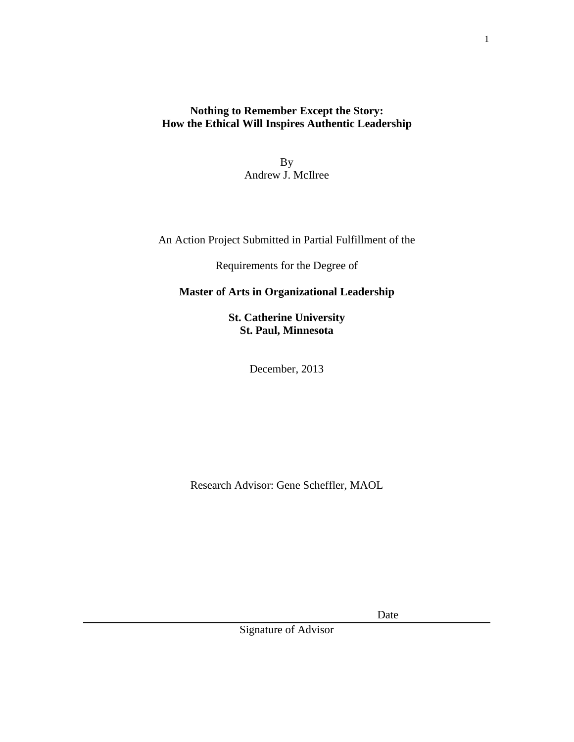## **Nothing to Remember Except the Story: How the Ethical Will Inspires Authentic Leadership**

By Andrew J. McIlree

An Action Project Submitted in Partial Fulfillment of the

Requirements for the Degree of

## **Master of Arts in Organizational Leadership**

**St. Catherine University St. Paul, Minnesota**

December, 2013

Research Advisor: Gene Scheffler, MAOL

Date

Signature of Advisor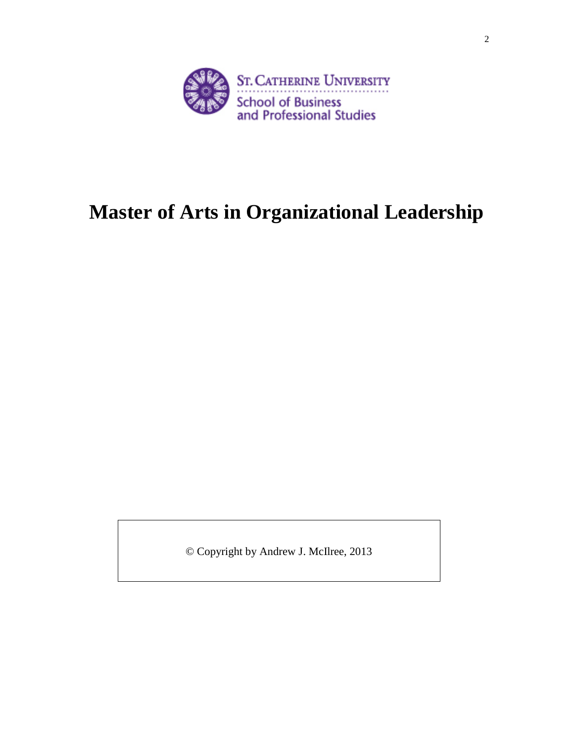

# **Master of Arts in Organizational Leadership**

© Copyright by Andrew J. McIlree, 2013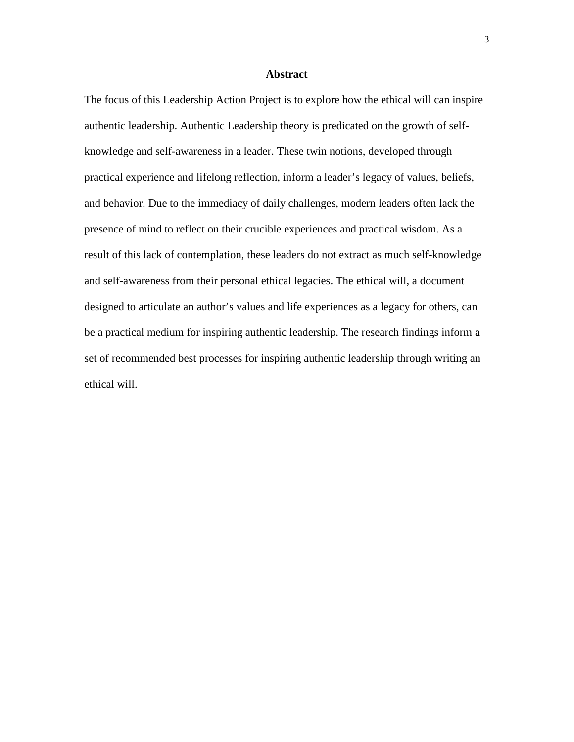#### **Abstract**

The focus of this Leadership Action Project is to explore how the ethical will can inspire authentic leadership. Authentic Leadership theory is predicated on the growth of selfknowledge and self-awareness in a leader. These twin notions, developed through practical experience and lifelong reflection, inform a leader's legacy of values, beliefs, and behavior. Due to the immediacy of daily challenges, modern leaders often lack the presence of mind to reflect on their crucible experiences and practical wisdom. As a result of this lack of contemplation, these leaders do not extract as much self-knowledge and self-awareness from their personal ethical legacies. The ethical will, a document designed to articulate an author's values and life experiences as a legacy for others, can be a practical medium for inspiring authentic leadership. The research findings inform a set of recommended best processes for inspiring authentic leadership through writing an ethical will.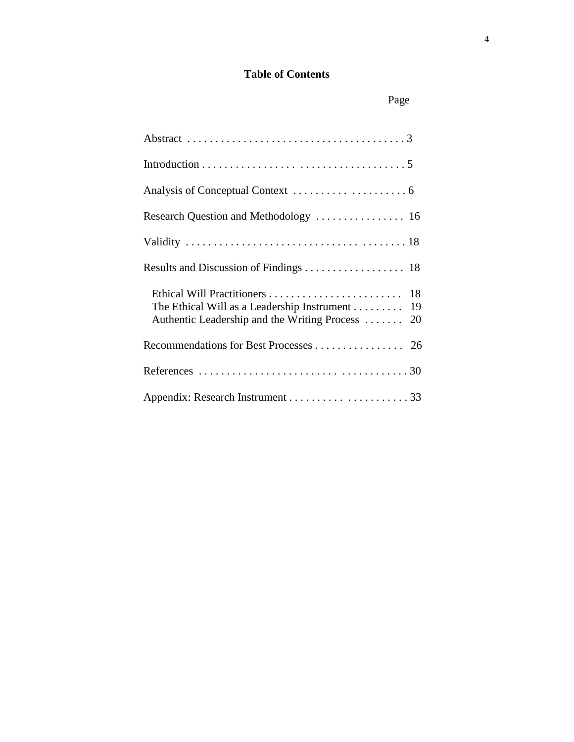## **Table of Contents**

| Research Question and Methodology  16                                                              |
|----------------------------------------------------------------------------------------------------|
|                                                                                                    |
|                                                                                                    |
| The Ethical Will as a Leadership Instrument 19<br>Authentic Leadership and the Writing Process  20 |
|                                                                                                    |
|                                                                                                    |
|                                                                                                    |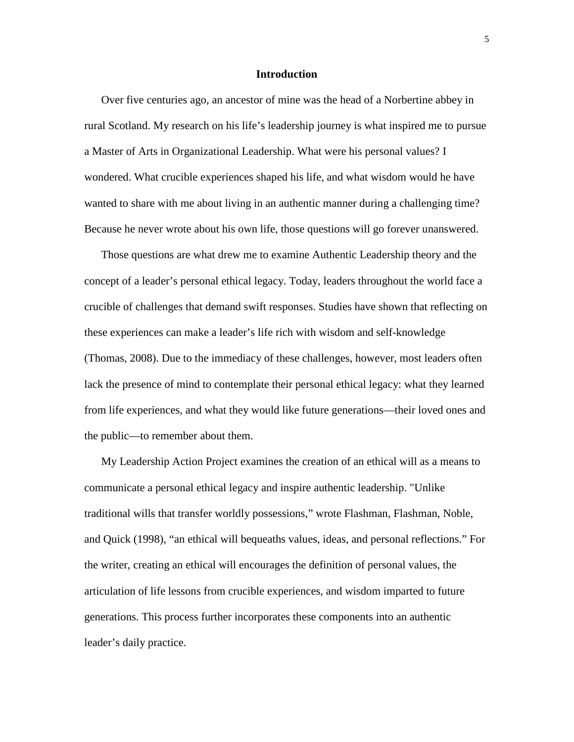#### **Introduction**

Over five centuries ago, an ancestor of mine was the head of a Norbertine abbey in rural Scotland. My research on his life's leadership journey is what inspired me to pursue a Master of Arts in Organizational Leadership. What were his personal values? I wondered. What crucible experiences shaped his life, and what wisdom would he have wanted to share with me about living in an authentic manner during a challenging time? Because he never wrote about his own life, those questions will go forever unanswered.

Those questions are what drew me to examine Authentic Leadership theory and the concept of a leader's personal ethical legacy. Today, leaders throughout the world face a crucible of challenges that demand swift responses. Studies have shown that reflecting on these experiences can make a leader's life rich with wisdom and self-knowledge (Thomas, 2008). Due to the immediacy of these challenges, however, most leaders often lack the presence of mind to contemplate their personal ethical legacy: what they learned from life experiences, and what they would like future generations—their loved ones and the public—to remember about them.

My Leadership Action Project examines the creation of an ethical will as a means to communicate a personal ethical legacy and inspire authentic leadership. "Unlike traditional wills that transfer worldly possessions," wrote Flashman, Flashman, Noble, and Quick (1998), "an ethical will bequeaths values, ideas, and personal reflections." For the writer, creating an ethical will encourages the definition of personal values, the articulation of life lessons from crucible experiences, and wisdom imparted to future generations. This process further incorporates these components into an authentic leader's daily practice.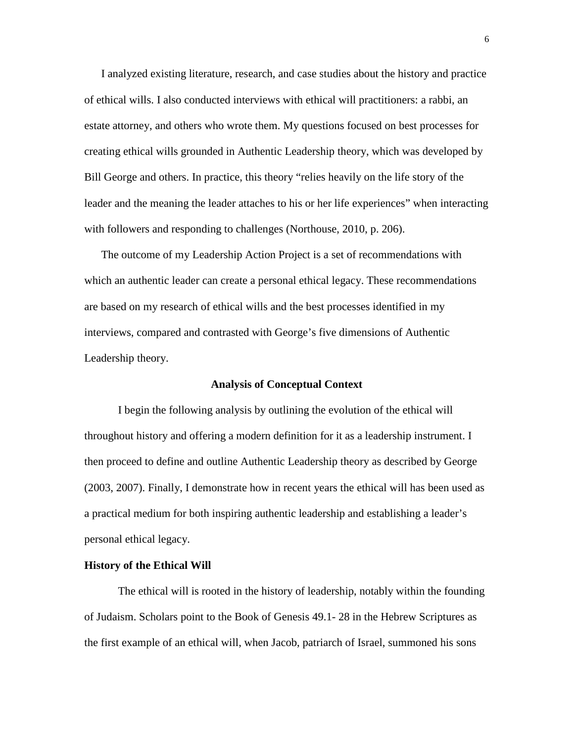I analyzed existing literature, research, and case studies about the history and practice of ethical wills. I also conducted interviews with ethical will practitioners: a rabbi, an estate attorney, and others who wrote them. My questions focused on best processes for creating ethical wills grounded in Authentic Leadership theory, which was developed by Bill George and others. In practice, this theory "relies heavily on the life story of the leader and the meaning the leader attaches to his or her life experiences" when interacting with followers and responding to challenges (Northouse, 2010, p. 206).

The outcome of my Leadership Action Project is a set of recommendations with which an authentic leader can create a personal ethical legacy. These recommendations are based on my research of ethical wills and the best processes identified in my interviews, compared and contrasted with George's five dimensions of Authentic Leadership theory.

#### **Analysis of Conceptual Context**

I begin the following analysis by outlining the evolution of the ethical will throughout history and offering a modern definition for it as a leadership instrument. I then proceed to define and outline Authentic Leadership theory as described by George (2003, 2007). Finally, I demonstrate how in recent years the ethical will has been used as a practical medium for both inspiring authentic leadership and establishing a leader's personal ethical legacy.

#### **History of the Ethical Will**

The ethical will is rooted in the history of leadership, notably within the founding of Judaism. Scholars point to the Book of Genesis 49.1- 28 in the Hebrew Scriptures as the first example of an ethical will, when Jacob, patriarch of Israel, summoned his sons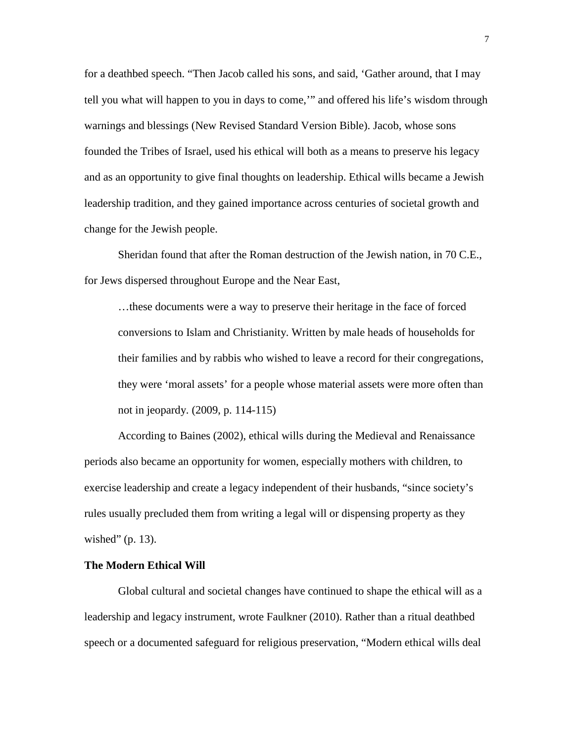for a deathbed speech. "Then Jacob called his sons, and said, 'Gather around, that I may tell you what will happen to you in days to come,'" and offered his life's wisdom through warnings and blessings (New Revised Standard Version Bible). Jacob, whose sons founded the Tribes of Israel, used his ethical will both as a means to preserve his legacy and as an opportunity to give final thoughts on leadership. Ethical wills became a Jewish leadership tradition, and they gained importance across centuries of societal growth and change for the Jewish people.

Sheridan found that after the Roman destruction of the Jewish nation, in 70 C.E., for Jews dispersed throughout Europe and the Near East,

…these documents were a way to preserve their heritage in the face of forced conversions to Islam and Christianity. Written by male heads of households for their families and by rabbis who wished to leave a record for their congregations, they were 'moral assets' for a people whose material assets were more often than not in jeopardy. (2009, p. 114-115)

According to Baines (2002), ethical wills during the Medieval and Renaissance periods also became an opportunity for women, especially mothers with children, to exercise leadership and create a legacy independent of their husbands, "since society's rules usually precluded them from writing a legal will or dispensing property as they wished" (p. 13).

#### **The Modern Ethical Will**

Global cultural and societal changes have continued to shape the ethical will as a leadership and legacy instrument, wrote Faulkner (2010). Rather than a ritual deathbed speech or a documented safeguard for religious preservation, "Modern ethical wills deal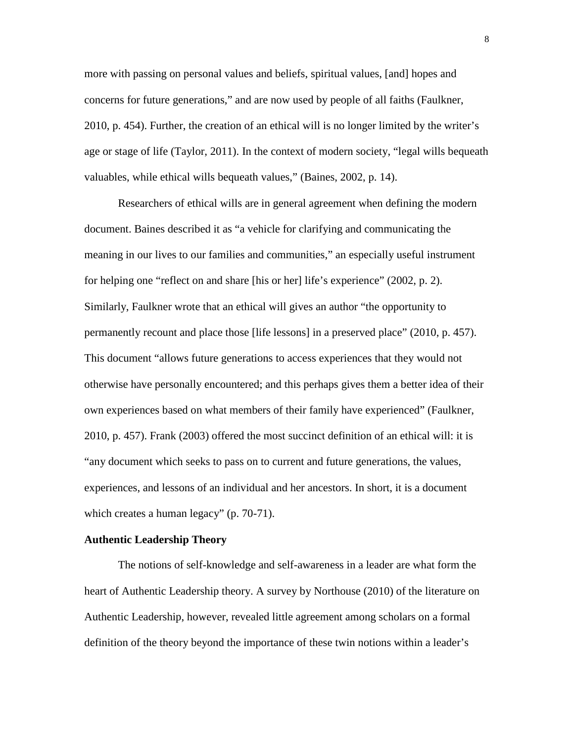more with passing on personal values and beliefs, spiritual values, [and] hopes and concerns for future generations," and are now used by people of all faiths (Faulkner, 2010, p. 454). Further, the creation of an ethical will is no longer limited by the writer's age or stage of life (Taylor, 2011). In the context of modern society, "legal wills bequeath valuables, while ethical wills bequeath values," (Baines, 2002, p. 14).

Researchers of ethical wills are in general agreement when defining the modern document. Baines described it as "a vehicle for clarifying and communicating the meaning in our lives to our families and communities," an especially useful instrument for helping one "reflect on and share [his or her] life's experience" (2002, p. 2). Similarly, Faulkner wrote that an ethical will gives an author "the opportunity to permanently recount and place those [life lessons] in a preserved place" (2010, p. 457). This document "allows future generations to access experiences that they would not otherwise have personally encountered; and this perhaps gives them a better idea of their own experiences based on what members of their family have experienced" (Faulkner, 2010, p. 457). Frank (2003) offered the most succinct definition of an ethical will: it is "any document which seeks to pass on to current and future generations, the values, experiences, and lessons of an individual and her ancestors. In short, it is a document which creates a human legacy" (p. 70-71).

#### **Authentic Leadership Theory**

The notions of self-knowledge and self-awareness in a leader are what form the heart of Authentic Leadership theory. A survey by Northouse (2010) of the literature on Authentic Leadership, however, revealed little agreement among scholars on a formal definition of the theory beyond the importance of these twin notions within a leader's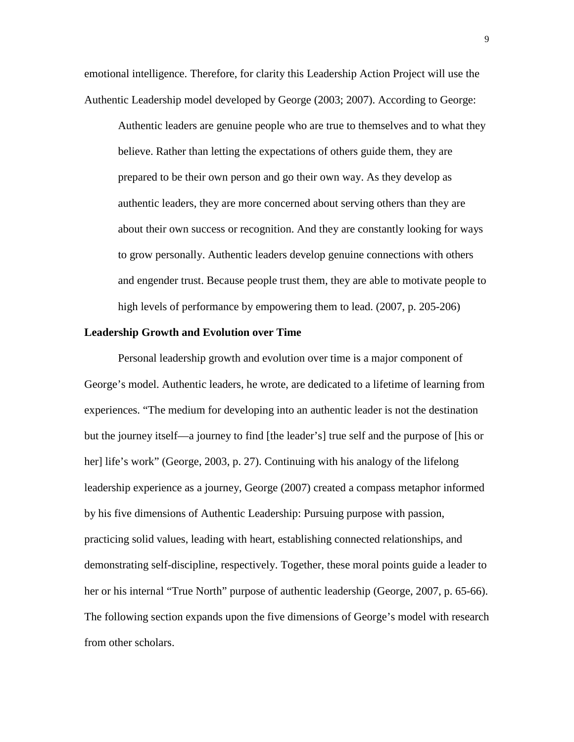emotional intelligence. Therefore, for clarity this Leadership Action Project will use the Authentic Leadership model developed by George (2003; 2007). According to George:

Authentic leaders are genuine people who are true to themselves and to what they believe. Rather than letting the expectations of others guide them, they are prepared to be their own person and go their own way. As they develop as authentic leaders, they are more concerned about serving others than they are about their own success or recognition. And they are constantly looking for ways to grow personally. Authentic leaders develop genuine connections with others and engender trust. Because people trust them, they are able to motivate people to high levels of performance by empowering them to lead. (2007, p. 205-206)

#### **Leadership Growth and Evolution over Time**

Personal leadership growth and evolution over time is a major component of George's model. Authentic leaders, he wrote, are dedicated to a lifetime of learning from experiences. "The medium for developing into an authentic leader is not the destination but the journey itself—a journey to find [the leader's] true self and the purpose of [his or her] life's work" (George, 2003, p. 27). Continuing with his analogy of the lifelong leadership experience as a journey, George (2007) created a compass metaphor informed by his five dimensions of Authentic Leadership: Pursuing purpose with passion, practicing solid values, leading with heart, establishing connected relationships, and demonstrating self-discipline, respectively. Together, these moral points guide a leader to her or his internal "True North" purpose of authentic leadership (George, 2007, p. 65-66). The following section expands upon the five dimensions of George's model with research from other scholars.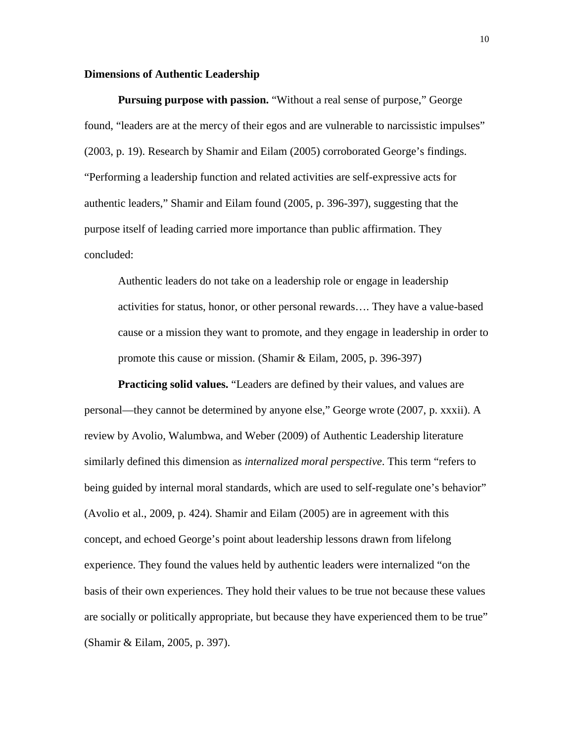#### **Dimensions of Authentic Leadership**

**Pursuing purpose with passion.** "Without a real sense of purpose," George found, "leaders are at the mercy of their egos and are vulnerable to narcissistic impulses" (2003, p. 19). Research by Shamir and Eilam (2005) corroborated George's findings. "Performing a leadership function and related activities are self-expressive acts for authentic leaders," Shamir and Eilam found (2005, p. 396-397), suggesting that the purpose itself of leading carried more importance than public affirmation. They concluded:

Authentic leaders do not take on a leadership role or engage in leadership activities for status, honor, or other personal rewards…. They have a value-based cause or a mission they want to promote, and they engage in leadership in order to promote this cause or mission. (Shamir & Eilam, 2005, p. 396-397)

**Practicing solid values.** "Leaders are defined by their values, and values are personal—they cannot be determined by anyone else," George wrote (2007, p. xxxii). A review by Avolio, Walumbwa, and Weber (2009) of Authentic Leadership literature similarly defined this dimension as *internalized moral perspective*. This term "refers to being guided by internal moral standards, which are used to self-regulate one's behavior" (Avolio et al., 2009, p. 424). Shamir and Eilam (2005) are in agreement with this concept, and echoed George's point about leadership lessons drawn from lifelong experience. They found the values held by authentic leaders were internalized "on the basis of their own experiences. They hold their values to be true not because these values are socially or politically appropriate, but because they have experienced them to be true" (Shamir & Eilam, 2005, p. 397).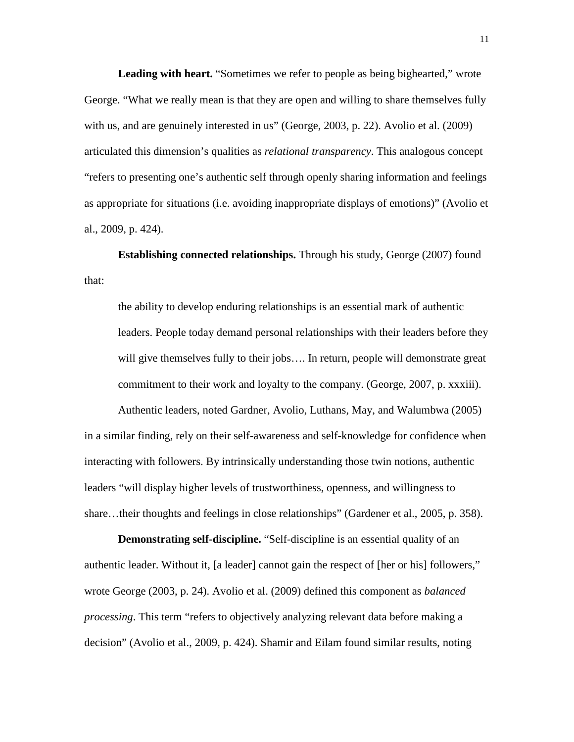**Leading with heart.** "Sometimes we refer to people as being bighearted," wrote George. "What we really mean is that they are open and willing to share themselves fully with us, and are genuinely interested in us" (George, 2003, p. 22). Avolio et al. (2009) articulated this dimension's qualities as *relational transparency*. This analogous concept "refers to presenting one's authentic self through openly sharing information and feelings as appropriate for situations (i.e. avoiding inappropriate displays of emotions)" (Avolio et al., 2009, p. 424).

**Establishing connected relationships.** Through his study, George (2007) found that:

the ability to develop enduring relationships is an essential mark of authentic leaders. People today demand personal relationships with their leaders before they will give themselves fully to their jobs.... In return, people will demonstrate great commitment to their work and loyalty to the company. (George, 2007, p. xxxiii).

Authentic leaders, noted Gardner, Avolio, Luthans, May, and Walumbwa (2005) in a similar finding, rely on their self-awareness and self-knowledge for confidence when interacting with followers. By intrinsically understanding those twin notions, authentic leaders "will display higher levels of trustworthiness, openness, and willingness to share…their thoughts and feelings in close relationships" (Gardener et al., 2005, p. 358).

**Demonstrating self-discipline.** "Self-discipline is an essential quality of an authentic leader. Without it, [a leader] cannot gain the respect of [her or his] followers," wrote George (2003, p. 24). Avolio et al. (2009) defined this component as *balanced processing*. This term "refers to objectively analyzing relevant data before making a decision" (Avolio et al., 2009, p. 424). Shamir and Eilam found similar results, noting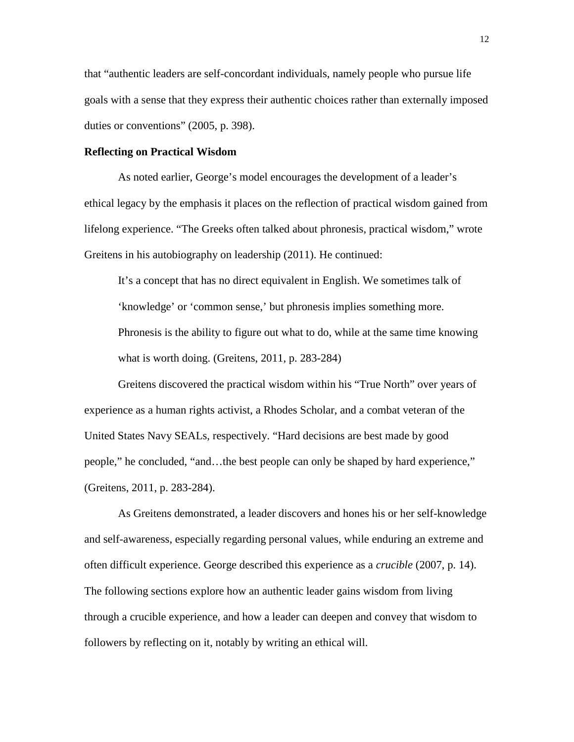that "authentic leaders are self-concordant individuals, namely people who pursue life goals with a sense that they express their authentic choices rather than externally imposed duties or conventions" (2005, p. 398).

#### **Reflecting on Practical Wisdom**

As noted earlier, George's model encourages the development of a leader's ethical legacy by the emphasis it places on the reflection of practical wisdom gained from lifelong experience. "The Greeks often talked about phronesis, practical wisdom," wrote Greitens in his autobiography on leadership (2011). He continued:

It's a concept that has no direct equivalent in English. We sometimes talk of 'knowledge' or 'common sense,' but phronesis implies something more. Phronesis is the ability to figure out what to do, while at the same time knowing what is worth doing. (Greitens, 2011, p. 283-284)

Greitens discovered the practical wisdom within his "True North" over years of experience as a human rights activist, a Rhodes Scholar, and a combat veteran of the United States Navy SEALs, respectively. "Hard decisions are best made by good people," he concluded, "and…the best people can only be shaped by hard experience," (Greitens, 2011, p. 283-284).

As Greitens demonstrated, a leader discovers and hones his or her self-knowledge and self-awareness, especially regarding personal values, while enduring an extreme and often difficult experience. George described this experience as a *crucible* (2007, p. 14). The following sections explore how an authentic leader gains wisdom from living through a crucible experience, and how a leader can deepen and convey that wisdom to followers by reflecting on it, notably by writing an ethical will.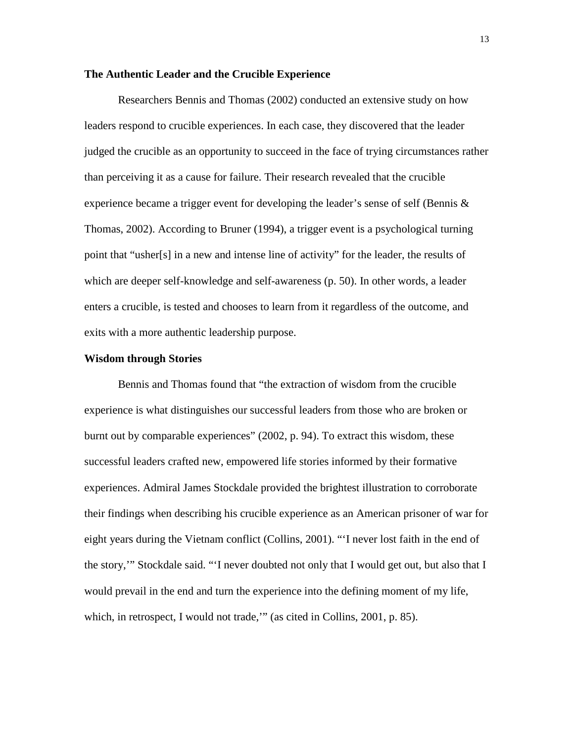#### **The Authentic Leader and the Crucible Experience**

Researchers Bennis and Thomas (2002) conducted an extensive study on how leaders respond to crucible experiences. In each case, they discovered that the leader judged the crucible as an opportunity to succeed in the face of trying circumstances rather than perceiving it as a cause for failure. Their research revealed that the crucible experience became a trigger event for developing the leader's sense of self (Bennis & Thomas, 2002). According to Bruner (1994), a trigger event is a psychological turning point that "usher[s] in a new and intense line of activity" for the leader, the results of which are deeper self-knowledge and self-awareness (p. 50). In other words, a leader enters a crucible, is tested and chooses to learn from it regardless of the outcome, and exits with a more authentic leadership purpose.

#### **Wisdom through Stories**

Bennis and Thomas found that "the extraction of wisdom from the crucible experience is what distinguishes our successful leaders from those who are broken or burnt out by comparable experiences" (2002, p. 94). To extract this wisdom, these successful leaders crafted new, empowered life stories informed by their formative experiences. Admiral James Stockdale provided the brightest illustration to corroborate their findings when describing his crucible experience as an American prisoner of war for eight years during the Vietnam conflict (Collins, 2001). "'I never lost faith in the end of the story,'" Stockdale said. "'I never doubted not only that I would get out, but also that I would prevail in the end and turn the experience into the defining moment of my life, which, in retrospect, I would not trade," (as cited in Collins, 2001, p. 85).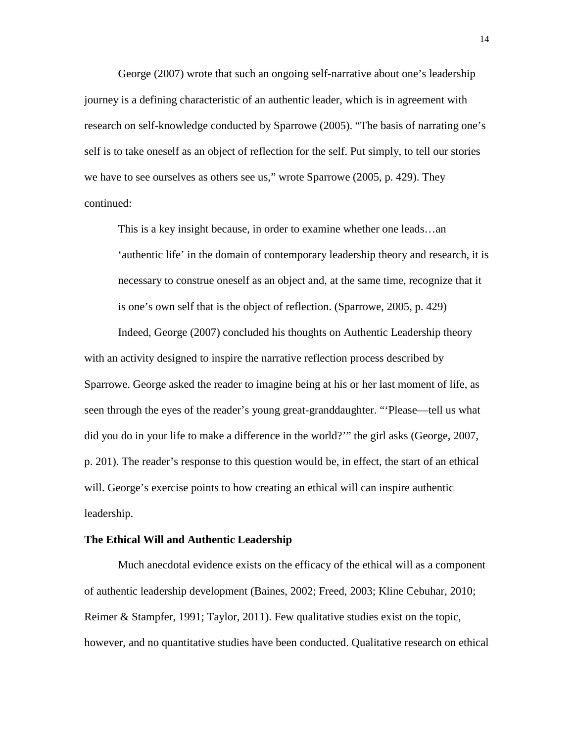George (2007) wrote that such an ongoing self-narrative about one's leadership journey is a defining characteristic of an authentic leader, which is in agreement with research on self-knowledge conducted by Sparrowe (2005). "The basis of narrating one's self is to take oneself as an object of reflection for the self. Put simply, to tell our stories we have to see ourselves as others see us," wrote Sparrowe (2005, p. 429). They continued:

This is a key insight because, in order to examine whether one leads…an 'authentic life' in the domain of contemporary leadership theory and research, it is necessary to construe oneself as an object and, at the same time, recognize that it is one's own self that is the object of reflection. (Sparrowe, 2005, p. 429)

Indeed, George (2007) concluded his thoughts on Authentic Leadership theory with an activity designed to inspire the narrative reflection process described by Sparrowe. George asked the reader to imagine being at his or her last moment of life, as seen through the eyes of the reader's young great-granddaughter. "'Please—tell us what did you do in your life to make a difference in the world?'" the girl asks (George, 2007, p. 201). The reader's response to this question would be, in effect, the start of an ethical will. George's exercise points to how creating an ethical will can inspire authentic leadership.

#### **The Ethical Will and Authentic Leadership**

Much anecdotal evidence exists on the efficacy of the ethical will as a component of authentic leadership development (Baines, 2002; Freed, 2003; Kline Cebuhar, 2010; Reimer & Stampfer, 1991; Taylor, 2011). Few qualitative studies exist on the topic, however, and no quantitative studies have been conducted. Qualitative research on ethical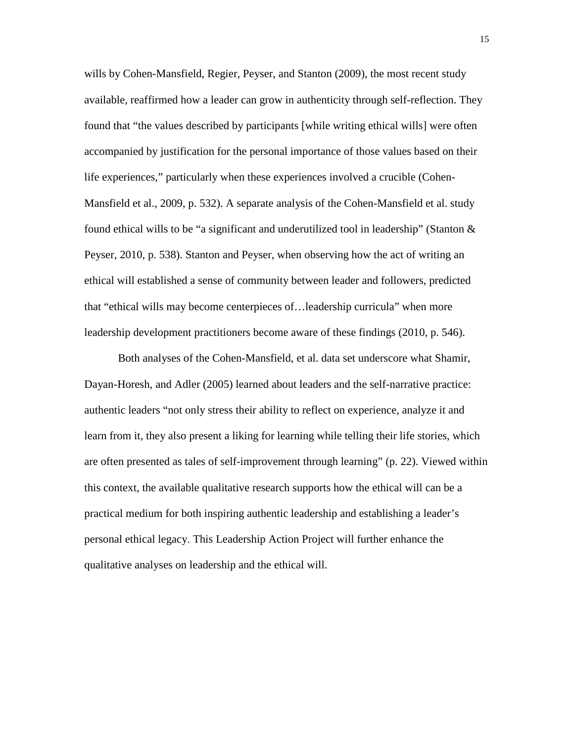wills by Cohen-Mansfield, Regier, Peyser, and Stanton (2009), the most recent study available, reaffirmed how a leader can grow in authenticity through self-reflection. They found that "the values described by participants [while writing ethical wills] were often accompanied by justification for the personal importance of those values based on their life experiences," particularly when these experiences involved a crucible (Cohen-Mansfield et al., 2009, p. 532). A separate analysis of the Cohen-Mansfield et al. study found ethical wills to be "a significant and underutilized tool in leadership" (Stanton & Peyser, 2010, p. 538). Stanton and Peyser, when observing how the act of writing an ethical will established a sense of community between leader and followers, predicted that "ethical wills may become centerpieces of…leadership curricula" when more leadership development practitioners become aware of these findings (2010, p. 546).

Both analyses of the Cohen-Mansfield, et al. data set underscore what Shamir, Dayan-Horesh, and Adler (2005) learned about leaders and the self-narrative practice: authentic leaders "not only stress their ability to reflect on experience, analyze it and learn from it, they also present a liking for learning while telling their life stories, which are often presented as tales of self-improvement through learning" (p. 22). Viewed within this context, the available qualitative research supports how the ethical will can be a practical medium for both inspiring authentic leadership and establishing a leader's personal ethical legacy. This Leadership Action Project will further enhance the qualitative analyses on leadership and the ethical will.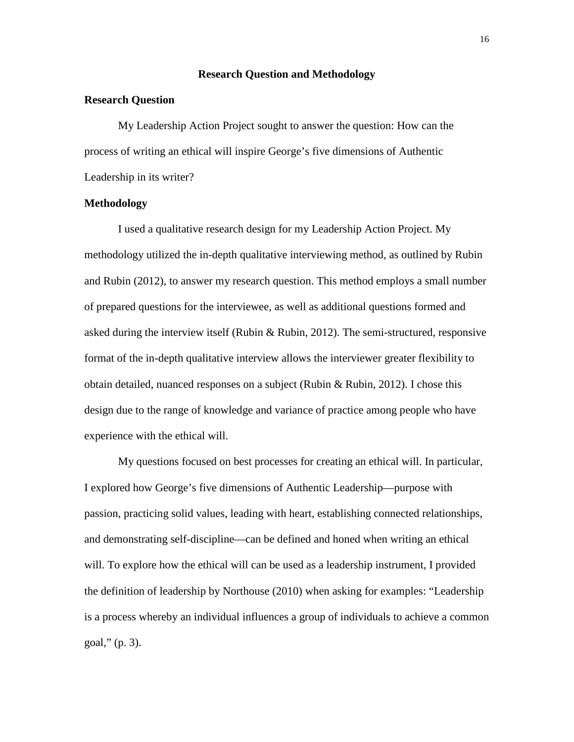#### **Research Question and Methodology**

#### **Research Question**

My Leadership Action Project sought to answer the question: How can the process of writing an ethical will inspire George's five dimensions of Authentic Leadership in its writer?

#### **Methodology**

I used a qualitative research design for my Leadership Action Project. My methodology utilized the in-depth qualitative interviewing method, as outlined by Rubin and Rubin (2012), to answer my research question. This method employs a small number of prepared questions for the interviewee, as well as additional questions formed and asked during the interview itself (Rubin & Rubin, 2012). The semi-structured, responsive format of the in-depth qualitative interview allows the interviewer greater flexibility to obtain detailed, nuanced responses on a subject (Rubin & Rubin, 2012). I chose this design due to the range of knowledge and variance of practice among people who have experience with the ethical will.

My questions focused on best processes for creating an ethical will. In particular, I explored how George's five dimensions of Authentic Leadership—purpose with passion, practicing solid values, leading with heart, establishing connected relationships, and demonstrating self-discipline—can be defined and honed when writing an ethical will. To explore how the ethical will can be used as a leadership instrument, I provided the definition of leadership by Northouse (2010) when asking for examples: "Leadership is a process whereby an individual influences a group of individuals to achieve a common goal," (p. 3).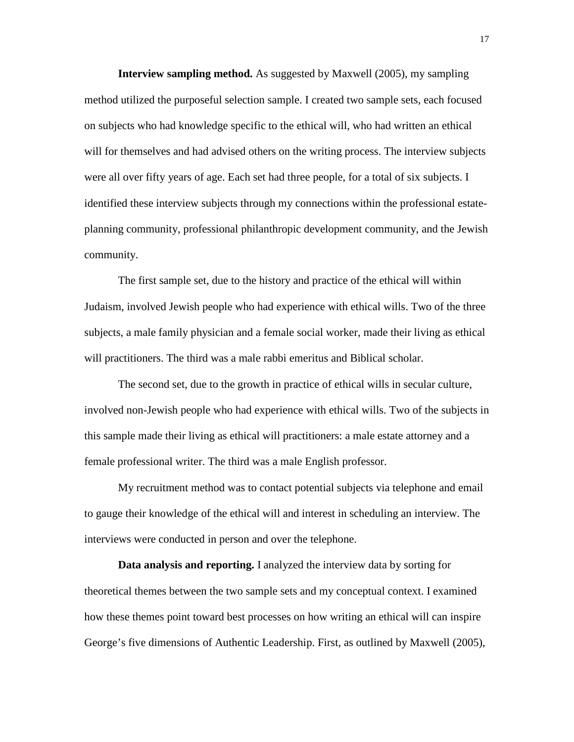**Interview sampling method.** As suggested by Maxwell (2005), my sampling method utilized the purposeful selection sample. I created two sample sets, each focused on subjects who had knowledge specific to the ethical will, who had written an ethical will for themselves and had advised others on the writing process. The interview subjects were all over fifty years of age. Each set had three people, for a total of six subjects. I identified these interview subjects through my connections within the professional estateplanning community, professional philanthropic development community, and the Jewish community.

The first sample set, due to the history and practice of the ethical will within Judaism, involved Jewish people who had experience with ethical wills. Two of the three subjects, a male family physician and a female social worker, made their living as ethical will practitioners. The third was a male rabbi emeritus and Biblical scholar.

The second set, due to the growth in practice of ethical wills in secular culture, involved non-Jewish people who had experience with ethical wills. Two of the subjects in this sample made their living as ethical will practitioners: a male estate attorney and a female professional writer. The third was a male English professor.

My recruitment method was to contact potential subjects via telephone and email to gauge their knowledge of the ethical will and interest in scheduling an interview. The interviews were conducted in person and over the telephone.

**Data analysis and reporting.** I analyzed the interview data by sorting for theoretical themes between the two sample sets and my conceptual context. I examined how these themes point toward best processes on how writing an ethical will can inspire George's five dimensions of Authentic Leadership. First, as outlined by Maxwell (2005),

17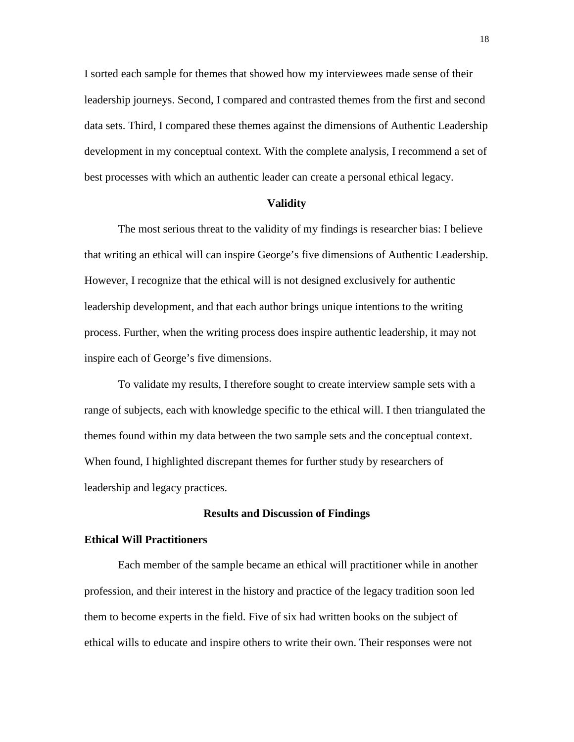I sorted each sample for themes that showed how my interviewees made sense of their leadership journeys. Second, I compared and contrasted themes from the first and second data sets. Third, I compared these themes against the dimensions of Authentic Leadership development in my conceptual context. With the complete analysis, I recommend a set of best processes with which an authentic leader can create a personal ethical legacy.

#### **Validity**

 The most serious threat to the validity of my findings is researcher bias: I believe that writing an ethical will can inspire George's five dimensions of Authentic Leadership. However, I recognize that the ethical will is not designed exclusively for authentic leadership development, and that each author brings unique intentions to the writing process. Further, when the writing process does inspire authentic leadership, it may not inspire each of George's five dimensions.

 To validate my results, I therefore sought to create interview sample sets with a range of subjects, each with knowledge specific to the ethical will. I then triangulated the themes found within my data between the two sample sets and the conceptual context. When found, I highlighted discrepant themes for further study by researchers of leadership and legacy practices.

#### **Results and Discussion of Findings**

#### **Ethical Will Practitioners**

Each member of the sample became an ethical will practitioner while in another profession, and their interest in the history and practice of the legacy tradition soon led them to become experts in the field. Five of six had written books on the subject of ethical wills to educate and inspire others to write their own. Their responses were not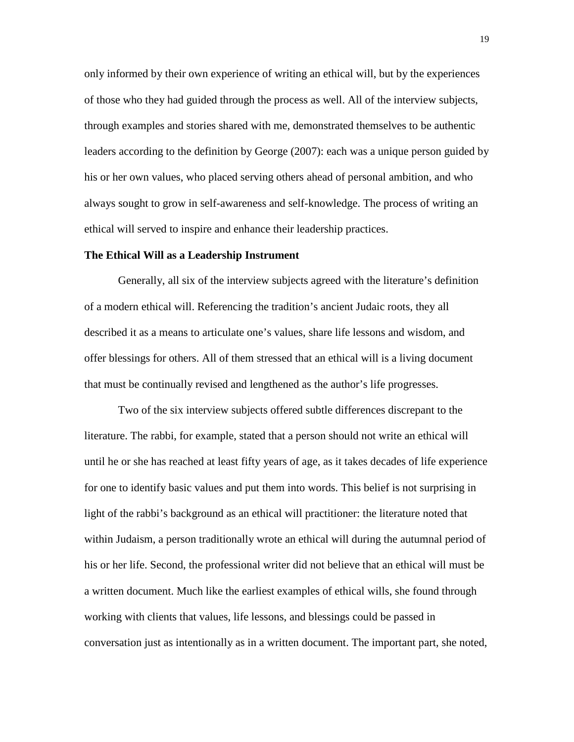only informed by their own experience of writing an ethical will, but by the experiences of those who they had guided through the process as well. All of the interview subjects, through examples and stories shared with me, demonstrated themselves to be authentic leaders according to the definition by George (2007): each was a unique person guided by his or her own values, who placed serving others ahead of personal ambition, and who always sought to grow in self-awareness and self-knowledge. The process of writing an ethical will served to inspire and enhance their leadership practices.

#### **The Ethical Will as a Leadership Instrument**

Generally, all six of the interview subjects agreed with the literature's definition of a modern ethical will. Referencing the tradition's ancient Judaic roots, they all described it as a means to articulate one's values, share life lessons and wisdom, and offer blessings for others. All of them stressed that an ethical will is a living document that must be continually revised and lengthened as the author's life progresses.

Two of the six interview subjects offered subtle differences discrepant to the literature. The rabbi, for example, stated that a person should not write an ethical will until he or she has reached at least fifty years of age, as it takes decades of life experience for one to identify basic values and put them into words. This belief is not surprising in light of the rabbi's background as an ethical will practitioner: the literature noted that within Judaism, a person traditionally wrote an ethical will during the autumnal period of his or her life. Second, the professional writer did not believe that an ethical will must be a written document. Much like the earliest examples of ethical wills, she found through working with clients that values, life lessons, and blessings could be passed in conversation just as intentionally as in a written document. The important part, she noted,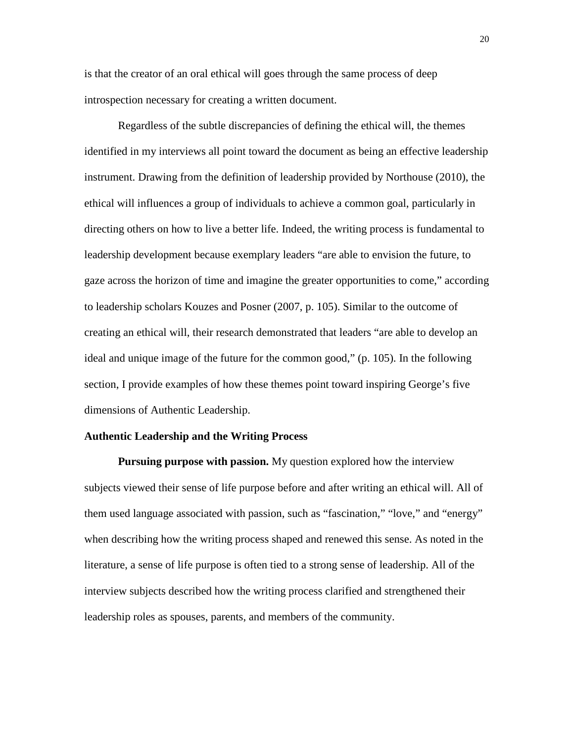is that the creator of an oral ethical will goes through the same process of deep introspection necessary for creating a written document.

Regardless of the subtle discrepancies of defining the ethical will, the themes identified in my interviews all point toward the document as being an effective leadership instrument. Drawing from the definition of leadership provided by Northouse (2010), the ethical will influences a group of individuals to achieve a common goal, particularly in directing others on how to live a better life. Indeed, the writing process is fundamental to leadership development because exemplary leaders "are able to envision the future, to gaze across the horizon of time and imagine the greater opportunities to come," according to leadership scholars Kouzes and Posner (2007, p. 105). Similar to the outcome of creating an ethical will, their research demonstrated that leaders "are able to develop an ideal and unique image of the future for the common good," (p. 105). In the following section, I provide examples of how these themes point toward inspiring George's five dimensions of Authentic Leadership.

#### **Authentic Leadership and the Writing Process**

**Pursuing purpose with passion.** My question explored how the interview subjects viewed their sense of life purpose before and after writing an ethical will. All of them used language associated with passion, such as "fascination," "love," and "energy" when describing how the writing process shaped and renewed this sense. As noted in the literature, a sense of life purpose is often tied to a strong sense of leadership. All of the interview subjects described how the writing process clarified and strengthened their leadership roles as spouses, parents, and members of the community.

20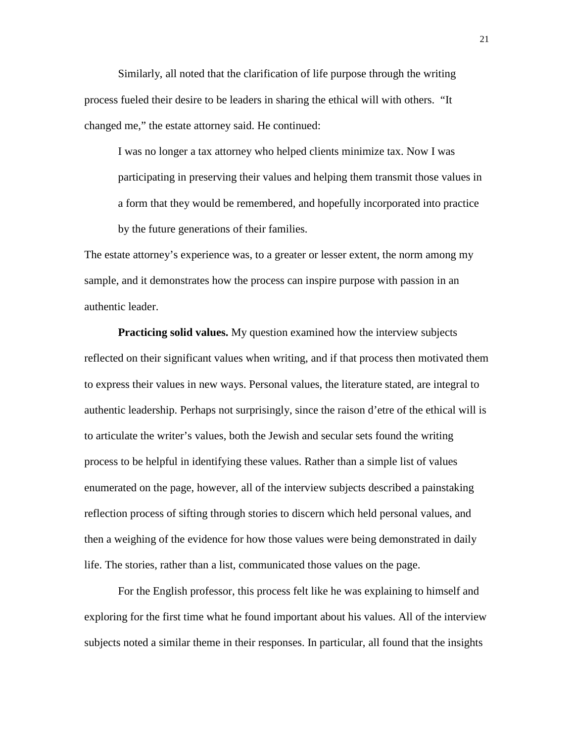Similarly, all noted that the clarification of life purpose through the writing process fueled their desire to be leaders in sharing the ethical will with others. "It changed me," the estate attorney said. He continued:

I was no longer a tax attorney who helped clients minimize tax. Now I was participating in preserving their values and helping them transmit those values in a form that they would be remembered, and hopefully incorporated into practice by the future generations of their families.

The estate attorney's experience was, to a greater or lesser extent, the norm among my sample, and it demonstrates how the process can inspire purpose with passion in an authentic leader.

**Practicing solid values.** My question examined how the interview subjects reflected on their significant values when writing, and if that process then motivated them to express their values in new ways. Personal values, the literature stated, are integral to authentic leadership. Perhaps not surprisingly, since the raison d'etre of the ethical will is to articulate the writer's values, both the Jewish and secular sets found the writing process to be helpful in identifying these values. Rather than a simple list of values enumerated on the page, however, all of the interview subjects described a painstaking reflection process of sifting through stories to discern which held personal values, and then a weighing of the evidence for how those values were being demonstrated in daily life. The stories, rather than a list, communicated those values on the page.

For the English professor, this process felt like he was explaining to himself and exploring for the first time what he found important about his values. All of the interview subjects noted a similar theme in their responses. In particular, all found that the insights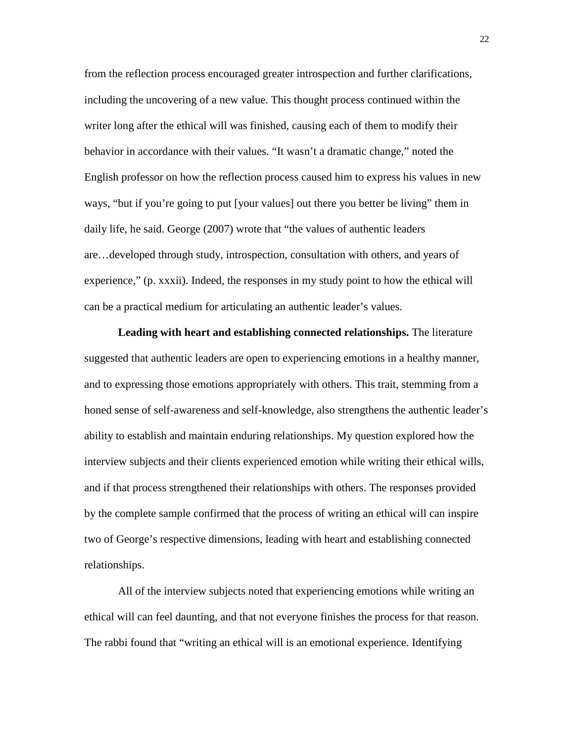from the reflection process encouraged greater introspection and further clarifications, including the uncovering of a new value. This thought process continued within the writer long after the ethical will was finished, causing each of them to modify their behavior in accordance with their values. "It wasn't a dramatic change," noted the English professor on how the reflection process caused him to express his values in new ways, "but if you're going to put [your values] out there you better be living" them in daily life, he said. George (2007) wrote that "the values of authentic leaders are…developed through study, introspection, consultation with others, and years of experience," (p. xxxii). Indeed, the responses in my study point to how the ethical will can be a practical medium for articulating an authentic leader's values.

**Leading with heart and establishing connected relationships.** The literature suggested that authentic leaders are open to experiencing emotions in a healthy manner, and to expressing those emotions appropriately with others. This trait, stemming from a honed sense of self-awareness and self-knowledge, also strengthens the authentic leader's ability to establish and maintain enduring relationships. My question explored how the interview subjects and their clients experienced emotion while writing their ethical wills, and if that process strengthened their relationships with others. The responses provided by the complete sample confirmed that the process of writing an ethical will can inspire two of George's respective dimensions, leading with heart and establishing connected relationships.

All of the interview subjects noted that experiencing emotions while writing an ethical will can feel daunting, and that not everyone finishes the process for that reason. The rabbi found that "writing an ethical will is an emotional experience. Identifying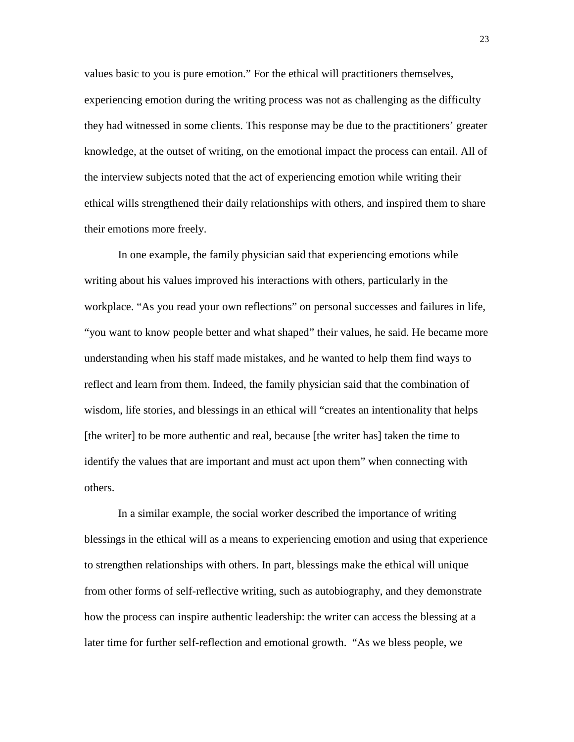values basic to you is pure emotion." For the ethical will practitioners themselves, experiencing emotion during the writing process was not as challenging as the difficulty they had witnessed in some clients. This response may be due to the practitioners' greater knowledge, at the outset of writing, on the emotional impact the process can entail. All of the interview subjects noted that the act of experiencing emotion while writing their ethical wills strengthened their daily relationships with others, and inspired them to share their emotions more freely.

In one example, the family physician said that experiencing emotions while writing about his values improved his interactions with others, particularly in the workplace. "As you read your own reflections" on personal successes and failures in life, "you want to know people better and what shaped" their values, he said. He became more understanding when his staff made mistakes, and he wanted to help them find ways to reflect and learn from them. Indeed, the family physician said that the combination of wisdom, life stories, and blessings in an ethical will "creates an intentionality that helps [the writer] to be more authentic and real, because [the writer has] taken the time to identify the values that are important and must act upon them" when connecting with others.

In a similar example, the social worker described the importance of writing blessings in the ethical will as a means to experiencing emotion and using that experience to strengthen relationships with others. In part, blessings make the ethical will unique from other forms of self-reflective writing, such as autobiography, and they demonstrate how the process can inspire authentic leadership: the writer can access the blessing at a later time for further self-reflection and emotional growth. "As we bless people, we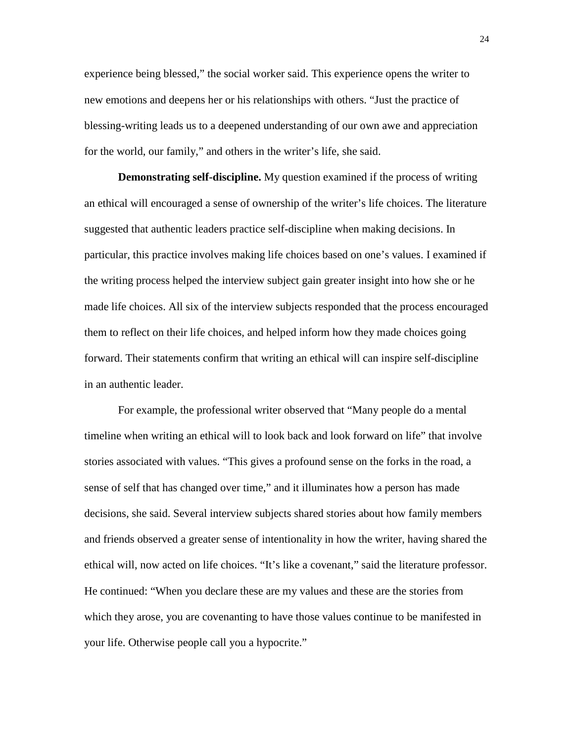experience being blessed," the social worker said. This experience opens the writer to new emotions and deepens her or his relationships with others. "Just the practice of blessing-writing leads us to a deepened understanding of our own awe and appreciation for the world, our family," and others in the writer's life, she said.

**Demonstrating self-discipline.** My question examined if the process of writing an ethical will encouraged a sense of ownership of the writer's life choices. The literature suggested that authentic leaders practice self-discipline when making decisions. In particular, this practice involves making life choices based on one's values. I examined if the writing process helped the interview subject gain greater insight into how she or he made life choices. All six of the interview subjects responded that the process encouraged them to reflect on their life choices, and helped inform how they made choices going forward. Their statements confirm that writing an ethical will can inspire self-discipline in an authentic leader.

For example, the professional writer observed that "Many people do a mental timeline when writing an ethical will to look back and look forward on life" that involve stories associated with values. "This gives a profound sense on the forks in the road, a sense of self that has changed over time," and it illuminates how a person has made decisions, she said. Several interview subjects shared stories about how family members and friends observed a greater sense of intentionality in how the writer, having shared the ethical will, now acted on life choices. "It's like a covenant," said the literature professor. He continued: "When you declare these are my values and these are the stories from which they arose, you are covenanting to have those values continue to be manifested in your life. Otherwise people call you a hypocrite."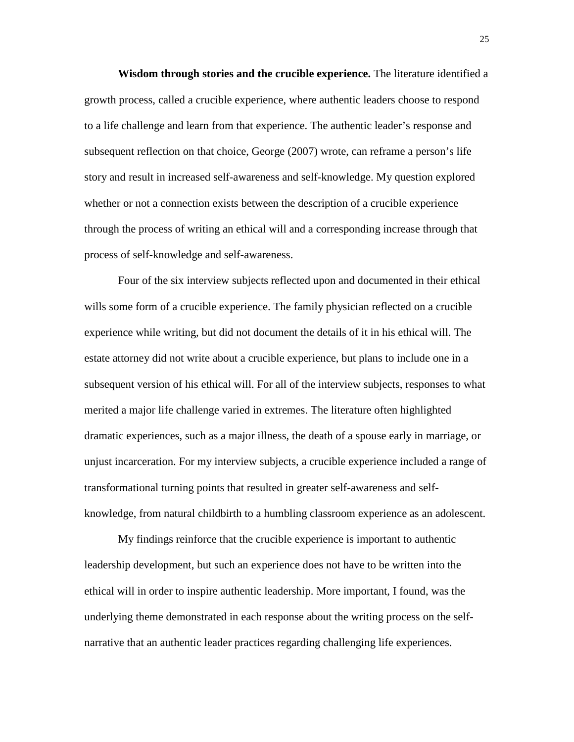**Wisdom through stories and the crucible experience.** The literature identified a growth process, called a crucible experience, where authentic leaders choose to respond to a life challenge and learn from that experience. The authentic leader's response and subsequent reflection on that choice, George (2007) wrote, can reframe a person's life story and result in increased self-awareness and self-knowledge. My question explored whether or not a connection exists between the description of a crucible experience through the process of writing an ethical will and a corresponding increase through that process of self-knowledge and self-awareness.

Four of the six interview subjects reflected upon and documented in their ethical wills some form of a crucible experience. The family physician reflected on a crucible experience while writing, but did not document the details of it in his ethical will. The estate attorney did not write about a crucible experience, but plans to include one in a subsequent version of his ethical will. For all of the interview subjects, responses to what merited a major life challenge varied in extremes. The literature often highlighted dramatic experiences, such as a major illness, the death of a spouse early in marriage, or unjust incarceration. For my interview subjects, a crucible experience included a range of transformational turning points that resulted in greater self-awareness and selfknowledge, from natural childbirth to a humbling classroom experience as an adolescent.

My findings reinforce that the crucible experience is important to authentic leadership development, but such an experience does not have to be written into the ethical will in order to inspire authentic leadership. More important, I found, was the underlying theme demonstrated in each response about the writing process on the selfnarrative that an authentic leader practices regarding challenging life experiences.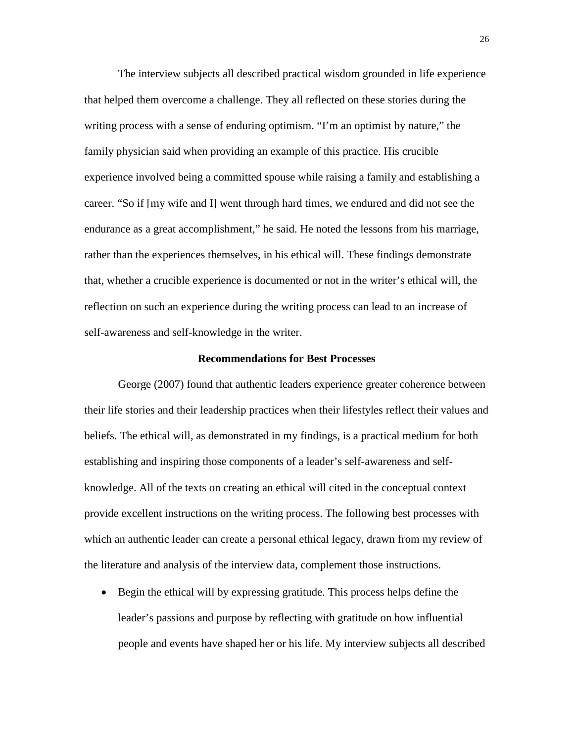The interview subjects all described practical wisdom grounded in life experience that helped them overcome a challenge. They all reflected on these stories during the writing process with a sense of enduring optimism. "I'm an optimist by nature," the family physician said when providing an example of this practice. His crucible experience involved being a committed spouse while raising a family and establishing a career. "So if [my wife and I] went through hard times, we endured and did not see the endurance as a great accomplishment," he said. He noted the lessons from his marriage, rather than the experiences themselves, in his ethical will. These findings demonstrate that, whether a crucible experience is documented or not in the writer's ethical will, the reflection on such an experience during the writing process can lead to an increase of self-awareness and self-knowledge in the writer.

#### **Recommendations for Best Processes**

George (2007) found that authentic leaders experience greater coherence between their life stories and their leadership practices when their lifestyles reflect their values and beliefs. The ethical will, as demonstrated in my findings, is a practical medium for both establishing and inspiring those components of a leader's self-awareness and selfknowledge. All of the texts on creating an ethical will cited in the conceptual context provide excellent instructions on the writing process. The following best processes with which an authentic leader can create a personal ethical legacy, drawn from my review of the literature and analysis of the interview data, complement those instructions.

• Begin the ethical will by expressing gratitude. This process helps define the leader's passions and purpose by reflecting with gratitude on how influential people and events have shaped her or his life. My interview subjects all described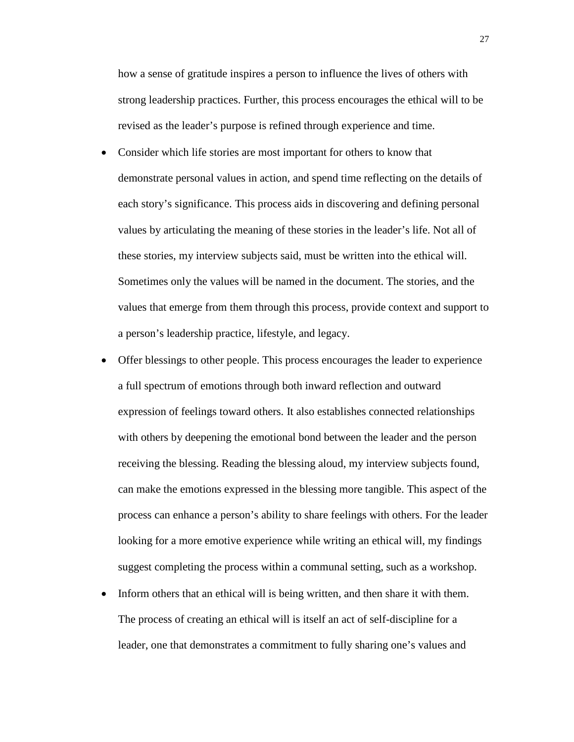how a sense of gratitude inspires a person to influence the lives of others with strong leadership practices. Further, this process encourages the ethical will to be revised as the leader's purpose is refined through experience and time.

- Consider which life stories are most important for others to know that demonstrate personal values in action, and spend time reflecting on the details of each story's significance. This process aids in discovering and defining personal values by articulating the meaning of these stories in the leader's life. Not all of these stories, my interview subjects said, must be written into the ethical will. Sometimes only the values will be named in the document. The stories, and the values that emerge from them through this process, provide context and support to a person's leadership practice, lifestyle, and legacy.
- Offer blessings to other people. This process encourages the leader to experience a full spectrum of emotions through both inward reflection and outward expression of feelings toward others. It also establishes connected relationships with others by deepening the emotional bond between the leader and the person receiving the blessing. Reading the blessing aloud, my interview subjects found, can make the emotions expressed in the blessing more tangible. This aspect of the process can enhance a person's ability to share feelings with others. For the leader looking for a more emotive experience while writing an ethical will, my findings suggest completing the process within a communal setting, such as a workshop.
- Inform others that an ethical will is being written, and then share it with them. The process of creating an ethical will is itself an act of self-discipline for a leader, one that demonstrates a commitment to fully sharing one's values and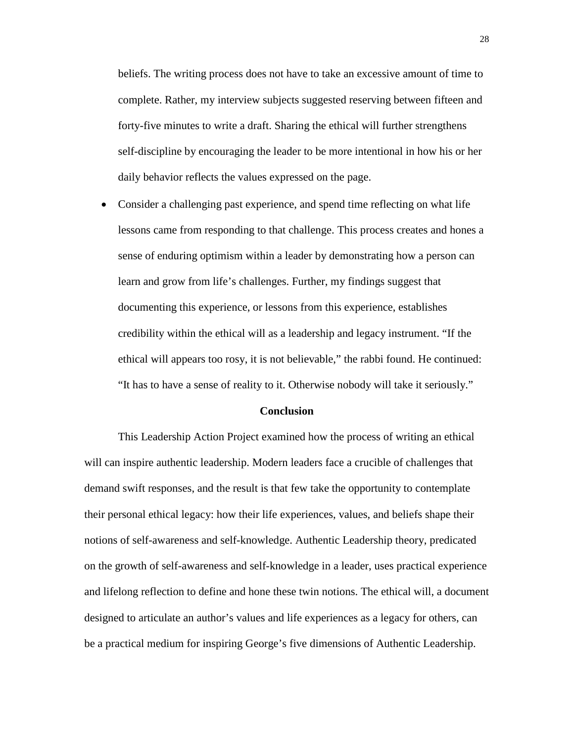beliefs. The writing process does not have to take an excessive amount of time to complete. Rather, my interview subjects suggested reserving between fifteen and forty-five minutes to write a draft. Sharing the ethical will further strengthens self-discipline by encouraging the leader to be more intentional in how his or her daily behavior reflects the values expressed on the page.

• Consider a challenging past experience, and spend time reflecting on what life lessons came from responding to that challenge. This process creates and hones a sense of enduring optimism within a leader by demonstrating how a person can learn and grow from life's challenges. Further, my findings suggest that documenting this experience, or lessons from this experience, establishes credibility within the ethical will as a leadership and legacy instrument. "If the ethical will appears too rosy, it is not believable," the rabbi found. He continued: "It has to have a sense of reality to it. Otherwise nobody will take it seriously."

#### **Conclusion**

This Leadership Action Project examined how the process of writing an ethical will can inspire authentic leadership. Modern leaders face a crucible of challenges that demand swift responses, and the result is that few take the opportunity to contemplate their personal ethical legacy: how their life experiences, values, and beliefs shape their notions of self-awareness and self-knowledge. Authentic Leadership theory, predicated on the growth of self-awareness and self-knowledge in a leader, uses practical experience and lifelong reflection to define and hone these twin notions. The ethical will, a document designed to articulate an author's values and life experiences as a legacy for others, can be a practical medium for inspiring George's five dimensions of Authentic Leadership.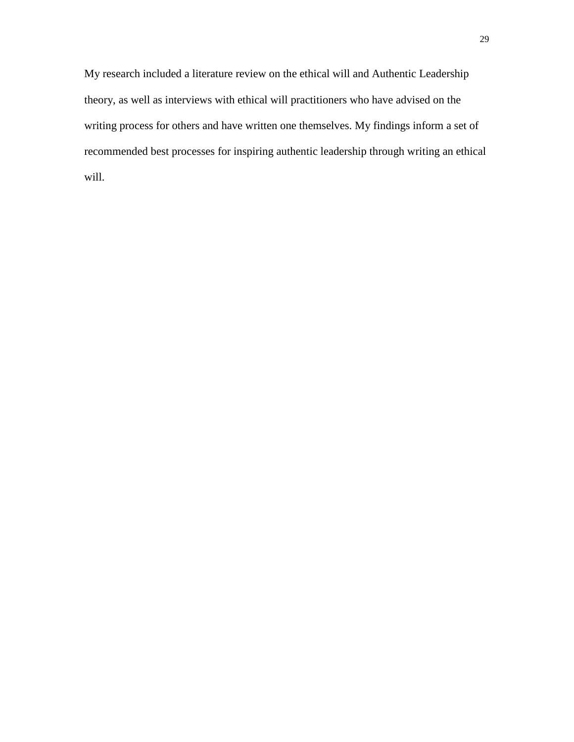My research included a literature review on the ethical will and Authentic Leadership theory, as well as interviews with ethical will practitioners who have advised on the writing process for others and have written one themselves. My findings inform a set of recommended best processes for inspiring authentic leadership through writing an ethical will.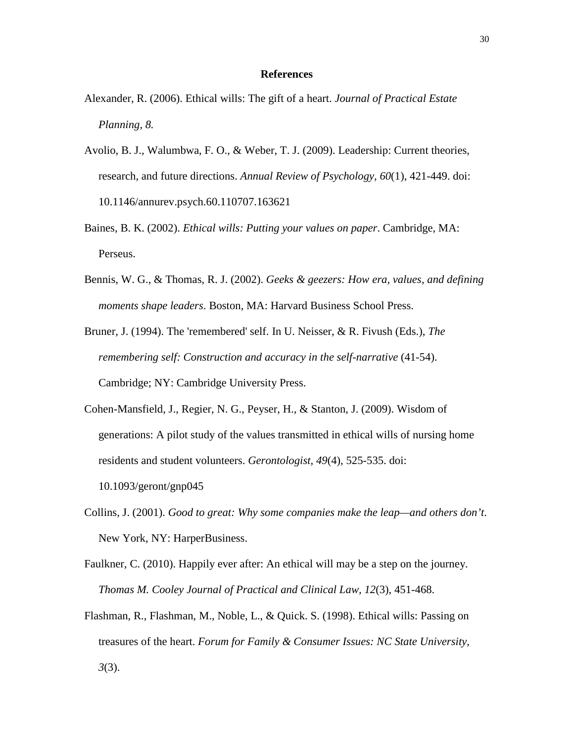#### **References**

- Alexander, R. (2006). Ethical wills: The gift of a heart. *Journal of Practical Estate Planning, 8.*
- Avolio, B. J., Walumbwa, F. O., & Weber, T. J. (2009). Leadership: Current theories, research, and future directions. *Annual Review of Psychology, 60*(1), 421-449. doi: 10.1146/annurev.psych.60.110707.163621
- Baines, B. K. (2002). *Ethical wills: Putting your values on paper*. Cambridge, MA: Perseus.
- Bennis, W. G., & Thomas, R. J. (2002). *Geeks & geezers: How era, values, and defining moments shape leaders*. Boston, MA: Harvard Business School Press.
- Bruner, J. (1994). The 'remembered' self. In U. Neisser, & R. Fivush (Eds.), *The remembering self: Construction and accuracy in the self-narrative* (41-54). Cambridge; NY: Cambridge University Press.
- Cohen-Mansfield, J., Regier, N. G., Peyser, H., & Stanton, J. (2009). Wisdom of generations: A pilot study of the values transmitted in ethical wills of nursing home residents and student volunteers. *Gerontologist, 49*(4), 525-535. doi: 10.1093/geront/gnp045
- Collins, J. (2001). *Good to great: Why some companies make the leap—and others don't*. New York, NY: HarperBusiness.
- Faulkner, C. (2010). Happily ever after: An ethical will may be a step on the journey. *Thomas M. Cooley Journal of Practical and Clinical Law, 12*(3), 451-468.
- Flashman, R., Flashman, M., Noble, L., & Quick. S. (1998). Ethical wills: Passing on treasures of the heart. *Forum for Family & Consumer Issues: NC State University, 3*(3).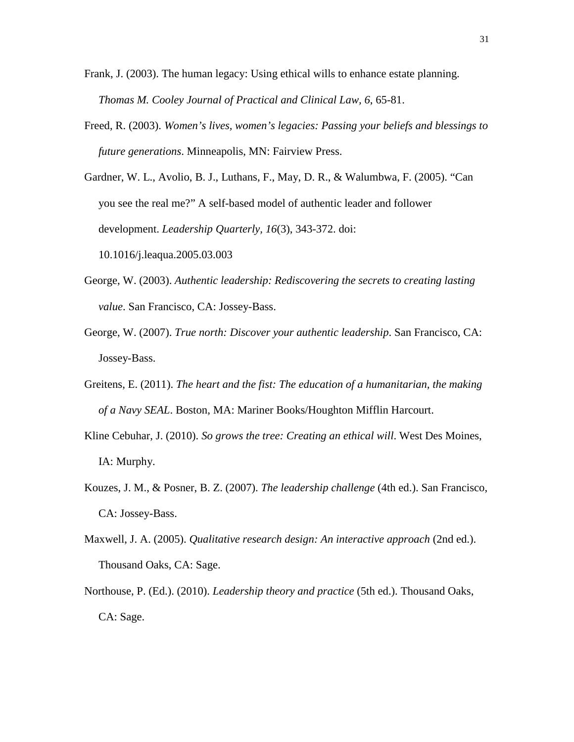- Frank, J. (2003). The human legacy: Using ethical wills to enhance estate planning. *Thomas M. Cooley Journal of Practical and Clinical Law, 6*, 65-81.
- Freed, R. (2003). *Women's lives, women's legacies: Passing your beliefs and blessings to future generations*. Minneapolis, MN: Fairview Press.
- Gardner, W. L., Avolio, B. J., Luthans, F., May, D. R., & Walumbwa, F. (2005). "Can you see the real me?" A self-based model of authentic leader and follower development. *Leadership Quarterly, 16*(3), 343-372. doi: 10.1016/j.leaqua.2005.03.003
- George, W. (2003). *Authentic leadership: Rediscovering the secrets to creating lasting value*. San Francisco, CA: Jossey-Bass.
- George, W. (2007). *True north: Discover your authentic leadership*. San Francisco, CA: Jossey-Bass.
- Greitens, E. (2011). *The heart and the fist: The education of a humanitarian, the making of a Navy SEAL*. Boston, MA: Mariner Books/Houghton Mifflin Harcourt.
- Kline Cebuhar, J. (2010). *So grows the tree: Creating an ethical will*. West Des Moines, IA: Murphy.
- Kouzes, J. M., & Posner, B. Z. (2007). *The leadership challenge* (4th ed.). San Francisco, CA: Jossey-Bass.
- Maxwell, J. A. (2005). *Qualitative research design: An interactive approach* (2nd ed.). Thousand Oaks, CA: Sage.
- Northouse, P. (Ed.). (2010). *Leadership theory and practice* (5th ed.). Thousand Oaks, CA: Sage.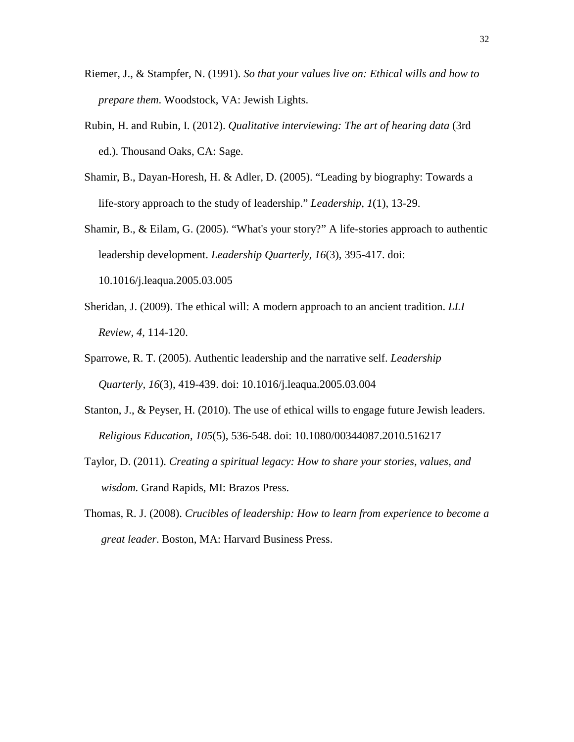- Riemer, J., & Stampfer, N. (1991). *So that your values live on: Ethical wills and how to prepare them*. Woodstock, VA: Jewish Lights.
- Rubin, H. and Rubin, I. (2012). *Qualitative interviewing: The art of hearing data* (3rd ed.). Thousand Oaks, CA: Sage.
- Shamir, B., Dayan-Horesh, H. & Adler, D. (2005). "Leading by biography: Towards a life-story approach to the study of leadership." *Leadership*, *1*(1), 13-29.
- Shamir, B., & Eilam, G. (2005). "What's your story?" A life-stories approach to authentic leadership development. *Leadership Quarterly, 16*(3), 395-417. doi: 10.1016/j.leaqua.2005.03.005
- Sheridan, J. (2009). The ethical will: A modern approach to an ancient tradition. *LLI Review, 4*, 114-120.
- Sparrowe, R. T. (2005). Authentic leadership and the narrative self. *Leadership Quarterly, 16*(3), 419-439. doi: 10.1016/j.leaqua.2005.03.004
- Stanton, J., & Peyser, H. (2010). The use of ethical wills to engage future Jewish leaders. *Religious Education, 105*(5), 536-548. doi: 10.1080/00344087.2010.516217
- Taylor, D. (2011). *Creating a spiritual legacy: How to share your stories, values, and wisdom.* Grand Rapids, MI: Brazos Press.
- Thomas, R. J. (2008). *Crucibles of leadership: How to learn from experience to become a great leader*. Boston, MA: Harvard Business Press.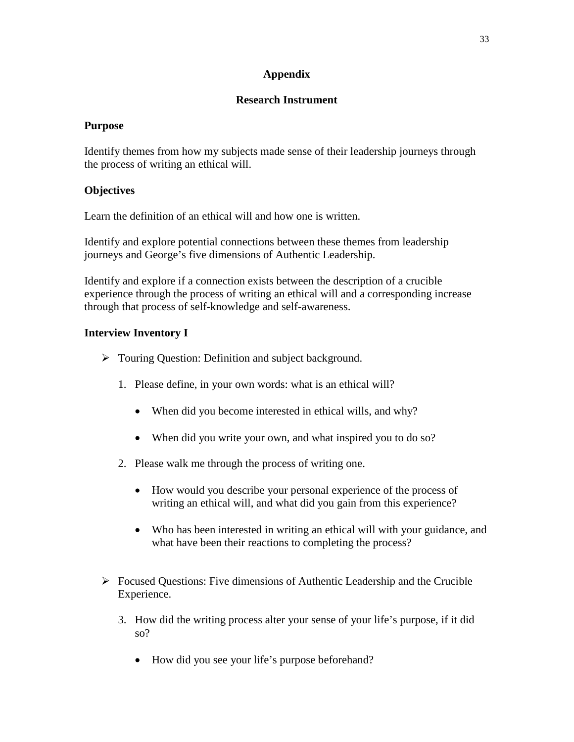## **Appendix**

## **Research Instrument**

### **Purpose**

Identify themes from how my subjects made sense of their leadership journeys through the process of writing an ethical will.

## **Objectives**

Learn the definition of an ethical will and how one is written.

Identify and explore potential connections between these themes from leadership journeys and George's five dimensions of Authentic Leadership.

Identify and explore if a connection exists between the description of a crucible experience through the process of writing an ethical will and a corresponding increase through that process of self-knowledge and self-awareness.

## **Interview Inventory I**

- Touring Question: Definition and subject background.
	- 1. Please define, in your own words: what is an ethical will?
		- When did you become interested in ethical wills, and why?
		- When did you write your own, and what inspired you to do so?
	- 2. Please walk me through the process of writing one.
		- How would you describe your personal experience of the process of writing an ethical will, and what did you gain from this experience?
		- Who has been interested in writing an ethical will with your guidance, and what have been their reactions to completing the process?
- $\triangleright$  Focused Questions: Five dimensions of Authentic Leadership and the Crucible Experience.
	- 3. How did the writing process alter your sense of your life's purpose, if it did so?
		- How did you see your life's purpose beforehand?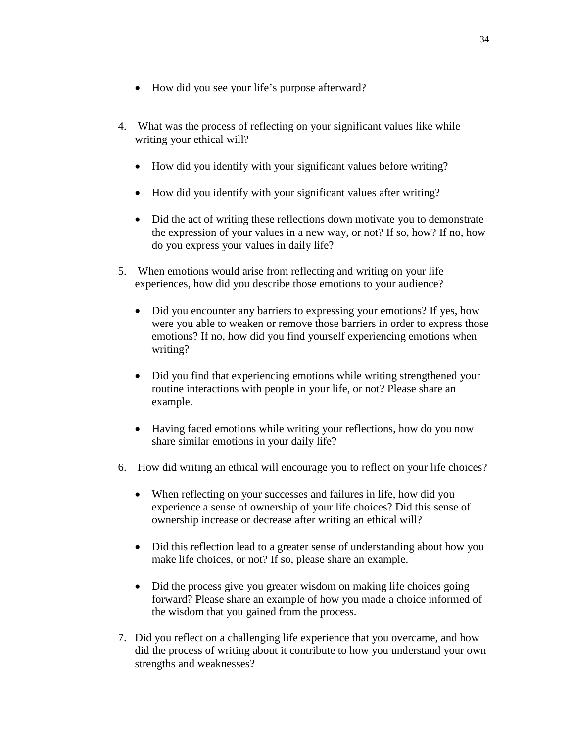- How did you see your life's purpose afterward?
- 4. What was the process of reflecting on your significant values like while writing your ethical will?
	- How did you identify with your significant values before writing?
	- How did you identify with your significant values after writing?
	- Did the act of writing these reflections down motivate you to demonstrate the expression of your values in a new way, or not? If so, how? If no, how do you express your values in daily life?
- 5. When emotions would arise from reflecting and writing on your life experiences, how did you describe those emotions to your audience?
	- Did you encounter any barriers to expressing your emotions? If yes, how were you able to weaken or remove those barriers in order to express those emotions? If no, how did you find yourself experiencing emotions when writing?
	- Did you find that experiencing emotions while writing strengthened your routine interactions with people in your life, or not? Please share an example.
	- Having faced emotions while writing your reflections, how do you now share similar emotions in your daily life?
- 6. How did writing an ethical will encourage you to reflect on your life choices?
	- When reflecting on your successes and failures in life, how did you experience a sense of ownership of your life choices? Did this sense of ownership increase or decrease after writing an ethical will?
	- Did this reflection lead to a greater sense of understanding about how you make life choices, or not? If so, please share an example.
	- Did the process give you greater wisdom on making life choices going forward? Please share an example of how you made a choice informed of the wisdom that you gained from the process.
- 7. Did you reflect on a challenging life experience that you overcame, and how did the process of writing about it contribute to how you understand your own strengths and weaknesses?